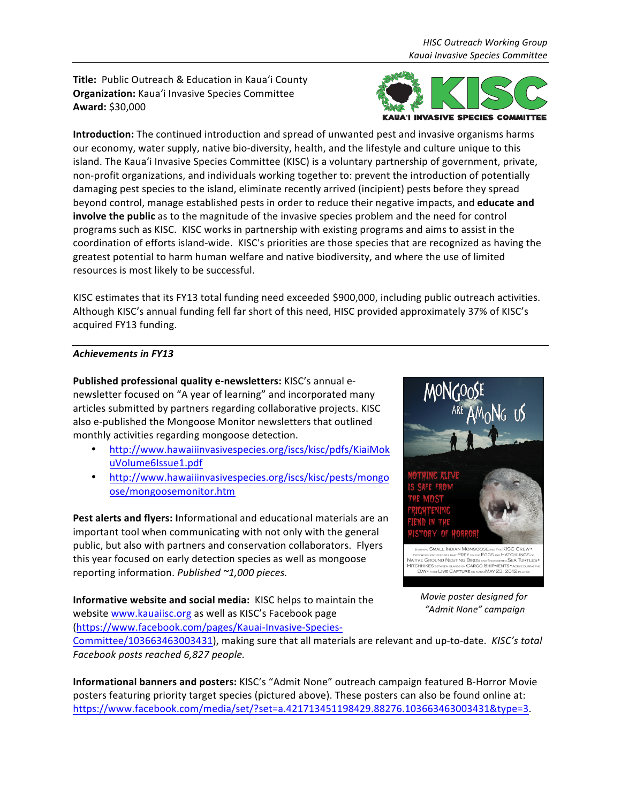**Title:** Public Outreach & Education in Kaua'i County **Organization:** Kaua'i Invasive Species Committee **Award:** \$30,000



**Introduction:** The continued introduction and spread of unwanted pest and invasive organisms harms our economy, water supply, native bio-diversity, health, and the lifestyle and culture unique to this island. The Kaua'i Invasive Species Committee (KISC) is a voluntary partnership of government, private, non-profit organizations, and individuals working together to: prevent the introduction of potentially damaging pest species to the island, eliminate recently arrived (incipient) pests before they spread beyond control, manage established pests in order to reduce their negative impacts, and **educate and involve the public** as to the magnitude of the invasive species problem and the need for control programs such as KISC. KISC works in partnership with existing programs and aims to assist in the coordination of efforts island-wide. KISC's priorities are those species that are recognized as having the greatest potential to harm human welfare and native biodiversity, and where the use of limited resources is most likely to be successful.

KISC estimates that its FY13 total funding need exceeded \$900,000, including public outreach activities. Although KISC's annual funding fell far short of this need, HISC provided approximately 37% of KISC's acquired FY13 funding.

# Achievements in FY13

Published professional quality e-newsletters: KISC's annual enewsletter focused on "A year of learning" and incorporated many articles submitted by partners regarding collaborative projects. KISC also e-published the Mongoose Monitor newsletters that outlined monthly activities regarding mongoose detection.

- http://www.hawaiiinvasivespecies.org/iscs/kisc/pdfs/KiaiMok uVolume6Issue1.pdf
- http://www.hawaiiinvasivespecies.org/iscs/kisc/pests/mongo ose/mongoosemonitor.htm

Pest alerts and flyers: Informational and educational materials are an important tool when communicating with not only with the general public, but also with partners and conservation collaborators. Flyers this year focused on early detection species as well as mongoose reporting information. *Published ~1,000 pieces.*

**Informative website and social media:** KISC helps to maintain the website www.kauaiisc.org as well as KISC's Facebook page (https://www.facebook.com/pages/Kauai-Invasive-Species-



*Movie poster designed for "Admit None" campaign*

Committee/103663463003431), making sure that all materials are relevant and up-to-date. KISC's total *Facebook posts reached 6,827 people.*

**Informational banners and posters:** KISC's "Admit None" outreach campaign featured B-Horror Movie posters featuring priority target species (pictured above). These posters can also be found online at: https://www.facebook.com/media/set/?set=a.421713451198429.88276.103663463003431&type=3.